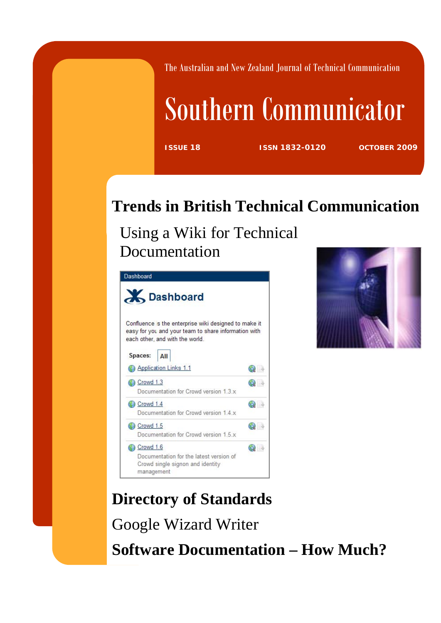The Australian and New Zealand Journal of Technical Communication

# Southern Communicator

**ISSUE 18 ISSN 1832-0120 OCTOBER 2009**

## **Trends in British Technical Communication**

Using a Wiki for Technical Documentation





**Directory of Standards**  Google Wizard Writer **Software Documentation – How Much?**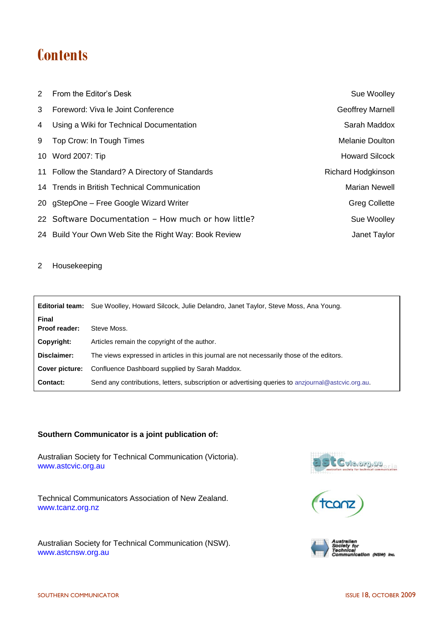## **Contents**

|   | 2 From the Editor's Desk                              | Sue Woolley             |
|---|-------------------------------------------------------|-------------------------|
|   | 3 Foreword: Viva le Joint Conference                  | <b>Geoffrey Marnell</b> |
|   | 4 Using a Wiki for Technical Documentation            | Sarah Maddox            |
| 9 | Top Crow: In Tough Times                              | Melanie Doulton         |
|   | 10 Word 2007: Tip                                     | <b>Howard Silcock</b>   |
|   | 11 Follow the Standard? A Directory of Standards      | Richard Hodgkinson      |
|   | 14 Trends in British Technical Communication          | <b>Marian Newell</b>    |
|   | 20 gStepOne - Free Google Wizard Writer               | <b>Greg Collette</b>    |
|   | 22 Software Documentation - How much or how little?   | Sue Woolley             |
|   | 24 Build Your Own Web Site the Right Way: Book Review | Janet Taylor            |

2 Housekeeping

|                               | <b>Editorial team:</b> Sue Woolley, Howard Silcock, Julie Delandro, Janet Taylor, Steve Moss, Ana Young. |
|-------------------------------|----------------------------------------------------------------------------------------------------------|
| <b>Final</b><br>Proof reader: | Steve Moss.                                                                                              |
| Copyright:                    | Articles remain the copyright of the author.                                                             |
| Disclaimer:                   | The views expressed in articles in this journal are not necessarily those of the editors.                |
| Cover picture:                | Confluence Dashboard supplied by Sarah Maddox.                                                           |
| <b>Contact:</b>               | Send any contributions, letters, subscription or advertising queries to anziournal@astevic.org.au.       |

## **Southern Communicator is a joint publication of:**

Australian Society for Technical Communication (Victoria). [www.astcvic.org.au](http://www.astcvic.org.au/)

Technical Communicators Association of New Zealand. www.tcanz.org.nz

Australian Society for Technical Communication (NSW). [www.astcnsw.org.au](http://www.astcnsw.org.au/)





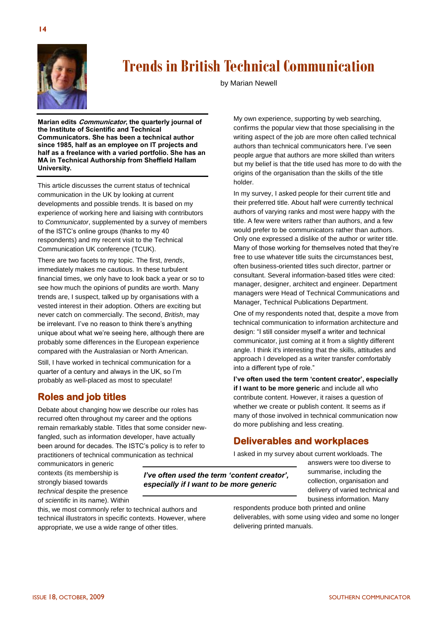

## **Trends in British Technical Communication**

by Marian Newell

**Marian edits Communicator, the quarterly journal of the Institute of Scientific and Technical Communicators. She has been a technical author since 1985, half as an employee on IT projects and half as a freelance with a varied portfolio. She has an MA in Technical Authorship from Sheffield Hallam University.** 

This article discusses the current status of technical communication in the UK by looking at current developments and possible trends. It is based on my experience of working here and liaising with contributors to *Communicator*, supplemented by a survey of members of the ISTC's online groups (thanks to my 40 respondents) and my recent visit to the Technical Communication UK conference (TCUK).

There are two facets to my topic. The first, *trends*, immediately makes me cautious. In these turbulent financial times, we only have to look back a year or so to see how much the opinions of pundits are worth. Many trends are, I suspect, talked up by organisations with a vested interest in their adoption. Others are exciting but never catch on commercially. The second, *British*, may be irrelevant. I've no reason to think there's anything unique about what we're seeing here, although there are probably some differences in the European experience compared with the Australasian or North American.

Still, I have worked in technical communication for a quarter of a century and always in the UK, so I'm probably as well-placed as most to speculate!

## **Roles and job titles**

Debate about changing how we describe our roles has recurred often throughout my career and the options remain remarkably stable. Titles that some consider newfangled, such as information developer, have actually been around for decades. The ISTC's policy is to refer to practitioners of technical communication as technical

communicators in generic contexts (its membership is strongly biased towards *technical* despite the presence of *scientific* in its name). Within

*I've often used the term 'content creator', especially if I want to be more generic*

this, we most commonly refer to technical authors and technical illustrators in specific contexts. However, where appropriate, we use a wide range of other titles.

My own experience, supporting by web searching, confirms the popular view that those specialising in the writing aspect of the job are more often called technical authors than technical communicators here. I've seen people argue that authors are more skilled than writers but my belief is that the title used has more to do with the origins of the organisation than the skills of the title holder.

In my survey, I asked people for their current title and their preferred title. About half were currently technical authors of varying ranks and most were happy with the title. A few were writers rather than authors, and a few would prefer to be communicators rather than authors. Only one expressed a dislike of the author or writer title. Many of those working for themselves noted that they're free to use whatever title suits the circumstances best, often business-oriented titles such director, partner or consultant. Several information-based titles were cited: manager, designer, architect and engineer. Department managers were Head of Technical Communications and Manager, Technical Publications Department.

One of my respondents noted that, despite a move from technical communication to information architecture and design: "I still consider myself a writer and technical communicator, just coming at it from a slightly different angle. I think it's interesting that the skills, attitudes and approach I developed as a writer transfer comfortably into a different type of role."

**I've often used the term 'content creator', especially if I want to be more generic** and include all who contribute content. However, it raises a question of whether we create or publish content. It seems as if many of those involved in technical communication now do more publishing and less creating.

## **Deliverables and workplaces**

I asked in my survey about current workloads. The

answers were too diverse to summarise, including the collection, organisation and delivery of varied technical and business information. Many

respondents produce both printed and online deliverables, with some using video and some no longer delivering printed manuals.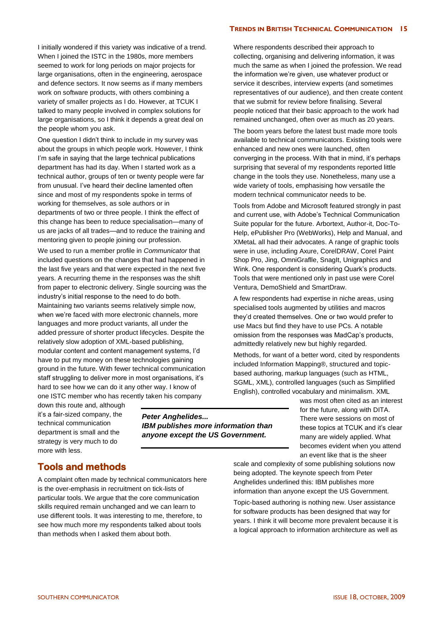I initially wondered if this variety was indicative of a trend. When I joined the ISTC in the 1980s, more members seemed to work for long periods on major projects for large organisations, often in the engineering, aerospace and defence sectors. It now seems as if many members work on software products, with others combining a variety of smaller projects as I do. However, at TCUK I talked to many people involved in complex solutions for large organisations, so I think it depends a great deal on the people whom you ask.

One question I didn't think to include in my survey was about the groups in which people work. However, I think I'm safe in saying that the large technical publications department has had its day. When I started work as a technical author, groups of ten or twenty people were far from unusual. I've heard their decline lamented often since and most of my respondents spoke in terms of working for themselves, as sole authors or in departments of two or three people. I think the effect of this change has been to reduce specialisation—many of us are jacks of all trades—and to reduce the training and mentoring given to people joining our profession.

We used to run a member profile in *Communicator* that included questions on the changes that had happened in the last five years and that were expected in the next five years. A recurring theme in the responses was the shift from paper to electronic delivery. Single sourcing was the industry's initial response to the need to do both. Maintaining two variants seems relatively simple now, when we're faced with more electronic channels, more languages and more product variants, all under the added pressure of shorter product lifecycles. Despite the relatively slow adoption of XML-based publishing, modular content and content management systems, I'd have to put my money on these technologies gaining ground in the future. With fewer technical communication staff struggling to deliver more in most organisations, it's hard to see how we can do it any other way. I know of one ISTC member who has recently taken his company

down this route and, although it's a fair-sized company, the technical communication department is small and the strategy is very much to do more with less.

*Peter Anghelides... IBM publishes more information than anyone except the US Government.*

## Where respondents described their approach to collecting, organising and delivering information, it was much the same as when I joined the profession. We read the information we're given, use whatever product or service it describes, interview experts (and sometimes representatives of our audience), and then create content that we submit for review before finalising. Several people noticed that their basic approach to the work had remained unchanged, often over as much as 20 years.

The boom years before the latest bust made more tools available to technical communicators. Existing tools were enhanced and new ones were launched, often converging in the process. With that in mind, it's perhaps surprising that several of my respondents reported little change in the tools they use. Nonetheless, many use a wide variety of tools, emphasising how versatile the modern technical communicator needs to be.

Tools from Adobe and Microsoft featured strongly in past and current use, with Adobe's Technical Communication Suite popular for the future. Arbortext, Author-it, Doc-To-Help, ePublisher Pro (WebWorks), Help and Manual, and XMetaL all had their advocates. A range of graphic tools were in use, including Axure, CorelDRAW, Corel Paint Shop Pro, Jing, OmniGraflle, SnagIt, Unigraphics and Wink. One respondent is considering Quark's products. Tools that were mentioned only in past use were Corel Ventura, DemoShield and SmartDraw.

A few respondents had expertise in niche areas, using specialised tools augmented by utilities and macros they'd created themselves. One or two would prefer to use Macs but find they have to use PCs. A notable omission from the responses was MadCap's products, admittedly relatively new but highly regarded.

Methods, for want of a better word, cited by respondents included Information Mapping®, structured and topicbased authoring, markup languages (such as HTML, SGML, XML), controlled languages (such as Simplified English), controlled vocabulary and minimalism. XML

> was most often cited as an interest for the future, along with DITA. There were sessions on most of these topics at TCUK and it's clear many are widely applied. What becomes evident when you attend an event like that is the sheer

## **Tools and methods**

A complaint often made by technical communicators here is the over-emphasis in recruitment on tick-lists of particular tools. We argue that the core communication skills required remain unchanged and we can learn to use different tools. It was interesting to me, therefore, to see how much more my respondents talked about tools than methods when I asked them about both.

scale and complexity of some publishing solutions now being adopted. The keynote speech from Peter Anghelides underlined this: IBM publishes more information than anyone except the US Government.

Topic-based authoring is nothing new. User assistance for software products has been designed that way for years. I think it will become more prevalent because it is a logical approach to information architecture as well as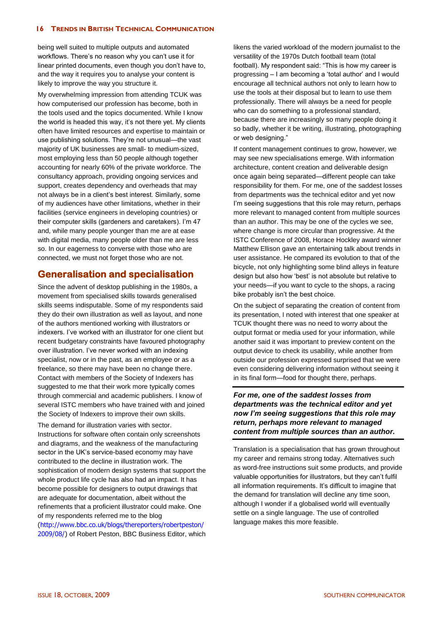being well suited to multiple outputs and automated workflows. There's no reason why you can't use it for linear printed documents, even though you don't have to, and the way it requires you to analyse your content is likely to improve the way you structure it.

My overwhelming impression from attending TCUK was how computerised our profession has become, both in the tools used and the topics documented. While I know the world is headed this way, it's not there yet. My clients often have limited resources and expertise to maintain or use publishing solutions. They're not unusual—the vast majority of UK businesses are small- to medium-sized, most employing less than 50 people although together accounting for nearly 60% of the private workforce. The consultancy approach, providing ongoing services and support, creates dependency and overheads that may not always be in a client's best interest. Similarly, some of my audiences have other limitations, whether in their facilities (service engineers in developing countries) or their computer skills (gardeners and caretakers). I'm 47 and, while many people younger than me are at ease with digital media, many people older than me are less so. In our eagerness to converse with those who are connected, we must not forget those who are not.

## **Generalisation and specialisation**

Since the advent of desktop publishing in the 1980s, a movement from specialised skills towards generalised skills seems indisputable. Some of my respondents said they do their own illustration as well as layout, and none of the authors mentioned working with illustrators or indexers. I've worked with an illustrator for one client but recent budgetary constraints have favoured photography over illustration. I've never worked with an indexing specialist, now or in the past, as an employee or as a freelance, so there may have been no change there. Contact with members of the Society of Indexers has suggested to me that their work more typically comes through commercial and academic publishers. I know of several ISTC members who have trained with and joined the Society of Indexers to improve their own skills.

The demand for illustration varies with sector. Instructions for software often contain only screenshots and diagrams, and the weakness of the manufacturing sector in the UK's service-based economy may have contributed to the decline in illustration work. The sophistication of modern design systems that support the whole product life cycle has also had an impact. It has become possible for designers to output drawings that are adequate for documentation, albeit without the refinements that a proficient illustrator could make. One of my respondents referred me to the blog [\(http://www.bbc.co.uk/blogs/thereporters/robertpeston/](http://www.bbc.co.uk/blogs/thereporters/robertpeston/2009/08/)

[2009/08/\)](http://www.bbc.co.uk/blogs/thereporters/robertpeston/2009/08/) of Robert Peston, BBC Business Editor, which

likens the varied workload of the modern journalist to the versatility of the 1970s Dutch football team (total football). My respondent said: "This is how my career is progressing – I am becoming a 'total author' and I would encourage all technical authors not only to learn how to use the tools at their disposal but to learn to use them professionally. There will always be a need for people who can do something to a professional standard, because there are increasingly so many people doing it so badly, whether it be writing, illustrating, photographing or web designing."

If content management continues to grow, however, we may see new specialisations emerge. With information architecture, content creation and deliverable design once again being separated—different people can take responsibility for them. For me, one of the saddest losses from departments was the technical editor and yet now I'm seeing suggestions that this role may return, perhaps more relevant to managed content from multiple sources than an author. This may be one of the cycles we see, where change is more circular than progressive. At the ISTC Conference of 2008, Horace Hockley award winner Matthew Ellison gave an entertaining talk about trends in user assistance. He compared its evolution to that of the bicycle, not only highlighting some blind alleys in feature design but also how 'best' is not absolute but relative to your needs—if you want to cycle to the shops, a racing bike probably isn't the best choice.

On the subject of separating the creation of content from its presentation, I noted with interest that one speaker at TCUK thought there was no need to worry about the output format or media used for your information, while another said it was important to preview content on the output device to check its usability, while another from outside our profession expressed surprised that we were even considering delivering information without seeing it in its final form—food for thought there, perhaps.

*For me, one of the saddest losses from departments was the technical editor and yet now I'm seeing suggestions that this role may return, perhaps more relevant to managed content from multiple sources than an author.* 

Translation is a specialisation that has grown throughout my career and remains strong today. Alternatives such as word-free instructions suit some products, and provide valuable opportunities for illustrators, but they can't fulfil all information requirements. It's difficult to imagine that the demand for translation will decline any time soon, although I wonder if a globalised world will eventually settle on a single language. The use of controlled language makes this more feasible.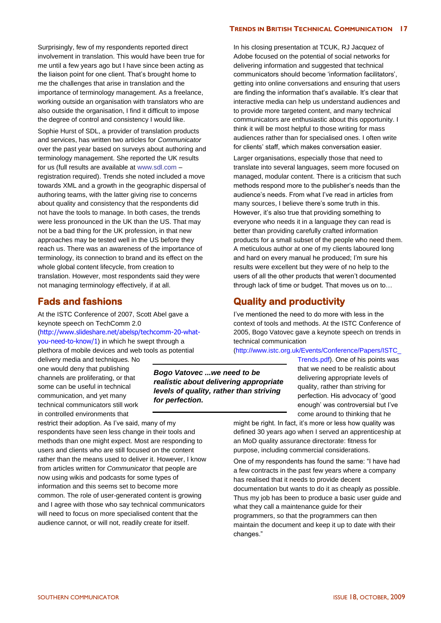Surprisingly, few of my respondents reported direct involvement in translation. This would have been true for me until a few years ago but I have since been acting as the liaison point for one client. That's brought home to me the challenges that arise in translation and the importance of terminology management. As a freelance, working outside an organisation with translators who are also outside the organisation, I find it difficult to impose the degree of control and consistency I would like.

Sophie Hurst of SDL, a provider of translation products and services, has written two articles for *Communicator* over the past year based on surveys about authoring and terminology management. She reported the UK results for us (full results are available at [www.sdl.com](http://www.sdl.com/) – registration required). Trends she noted included a move towards XML and a growth in the geographic dispersal of authoring teams, with the latter giving rise to concerns about quality and consistency that the respondents did not have the tools to manage. In both cases, the trends were less pronounced in the UK than the US. That may not be a bad thing for the UK profession, in that new approaches may be tested well in the US before they reach us. There was an awareness of the importance of terminology, its connection to brand and its effect on the whole global content lifecycle, from creation to translation. However, most respondents said they were not managing terminology effectively, if at all.

## **Fads and fashions**

At the ISTC Conference of 2007, Scott Abel gave a keynote speech on TechComm 2.0 ([http://www.slideshare.net/abelsp/techcomm-20-what](http://www.slideshare.net/abelsp/techcomm-20-what-you-need-to-know/1)[you-need-to-know/1](http://www.slideshare.net/abelsp/techcomm-20-what-you-need-to-know/1)) in which he swept through a plethora of mobile devices and web tools as potential

delivery media and techniques. No one would deny that publishing channels are proliferating, or that some can be useful in technical communication, and yet many technical communicators still work in controlled environments that

restrict their adoption. As I've said, many of my respondents have seen less change in their tools and methods than one might expect. Most are responding to users and clients who are still focused on the content rather than the means used to deliver it. However, I know from articles written for *Communicator* that people are now using wikis and podcasts for some types of information and this seems set to become more common. The role of user-generated content is growing and I agree with those who say technical communicators will need to focus on more specialised content that the audience cannot, or will not, readily create for itself.

In his closing presentation at TCUK, RJ Jacquez of Adobe focused on the potential of social networks for delivering information and suggested that technical communicators should become 'information facilitators', getting into online conversations and ensuring that users are finding the information that's available. It's clear that interactive media can help us understand audiences and to provide more targeted content, and many technical communicators are enthusiastic about this opportunity. I think it will be most helpful to those writing for mass audiences rather than for specialised ones. I often write for clients' staff, which makes conversation easier.

Larger organisations, especially those that need to translate into several languages, seem more focused on managed, modular content. There is a criticism that such methods respond more to the publisher's needs than the audience's needs. From what I've read in articles from many sources, I believe there's some truth in this. However, it's also true that providing something to everyone who needs it in a language they can read is better than providing carefully crafted information products for a small subset of the people who need them. A meticulous author at one of my clients laboured long and hard on every manual he produced; I'm sure his results were excellent but they were of no help to the users of all the other products that weren't documented through lack of time or budget. That moves us on to…

## **Quality and productivity**

I've mentioned the need to do more with less in the context of tools and methods. At the ISTC Conference of 2005, Bogo Vatovec gave a keynote speech on trends in technical communication

[\(http://www.istc.org.uk/Events/Conference/Papers/ISTC\\_](http://www.istc.org.uk/Events/Conference/Papers/ISTC_Trends.pdf)

[Trends.pdf\)](http://www.istc.org.uk/Events/Conference/Papers/ISTC_Trends.pdf). One of his points was

*Bogo Vatovec ...we need to be realistic about delivering appropriate levels of quality, rather than striving for perfection.*

that we need to be realistic about delivering appropriate levels of quality, rather than striving for perfection. His advocacy of 'good enough' was controversial but I've come around to thinking that he

might be right. In fact, it's more or less how quality was defined 30 years ago when I served an apprenticeship at an MoD quality assurance directorate: fitness for purpose, including commercial considerations.

One of my respondents has found the same: "I have had a few contracts in the past few years where a company has realised that it needs to provide decent documentation but wants to do it as cheaply as possible. Thus my job has been to produce a basic user guide and what they call a maintenance quide for their programmers, so that the programmers can then maintain the document and keep it up to date with their changes."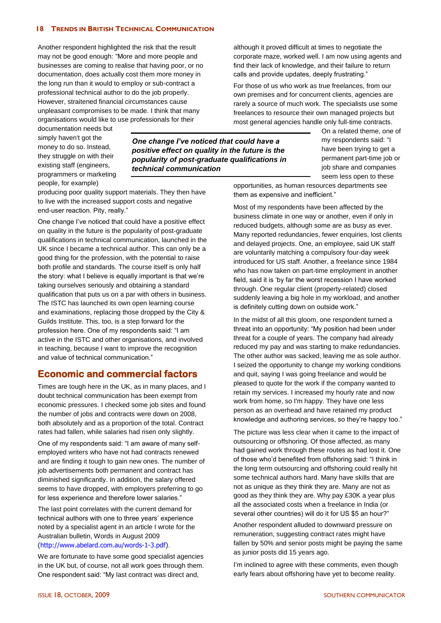Another respondent highlighted the risk that the result may not be good enough: "More and more people and businesses are coming to realise that having poor, or no documentation, does actually cost them more money in the long run than it would to employ or sub-contract a professional technical author to do the job properly. However, straitened financial circumstances cause unpleasant compromises to be made. I think that many organisations would like to use professionals for their

documentation needs but simply haven't got the money to do so. Instead, they struggle on with their existing staff (engineers, programmers or marketing people, for example)

*One change I've noticed that could have a positive effect on quality in the future is the popularity of post-graduate qualifications in technical communication*

producing poor quality support materials. They then have to live with the increased support costs and negative end-user reaction. Pity, really."

One change I've noticed that could have a positive effect on quality in the future is the popularity of post-graduate qualifications in technical communication, launched in the UK since I became a technical author. This can only be a good thing for the profession, with the potential to raise both profile and standards. The course itself is only half the story: what I believe is equally important is that we're taking ourselves seriously and obtaining a standard qualification that puts us on a par with others in business. The ISTC has launched its own open learning course and examinations, replacing those dropped by the City & Guilds Institute. This, too, is a step forward for the profession here. One of my respondents said: "I am active in the ISTC and other organisations, and involved in teaching, because I want to improve the recognition and value of technical communication."

## **Economic and commercial factors**

Times are tough here in the UK, as in many places, and I doubt technical communication has been exempt from economic pressures. I checked some job sites and found the number of jobs and contracts were down on 2008, both absolutely and as a proportion of the total. Contract rates had fallen, while salaries had risen only slightly.

One of my respondents said: "I am aware of many selfemployed writers who have not had contracts renewed and are finding it tough to gain new ones. The number of job advertisements both permanent and contract has diminished significantly. In addition, the salary offered seems to have dropped, with employers preferring to go for less experience and therefore lower salaries."

The last point correlates with the current demand for technical authors with one to three years' experience noted by a specialist agent in an article I wrote for the Australian bulletin, Words in August 2009 [\(http://www.abelard.com.au/words-1-3.pdf\)](http://www.abelard.com.au/words-1-3.pdf).

We are fortunate to have some good specialist agencies in the UK but, of course, not all work goes through them. One respondent said: "My last contract was direct and,

although it proved difficult at times to negotiate the corporate maze, worked well. I am now using agents and find their lack of knowledge, and their failure to return calls and provide updates, deeply frustrating."

For those of us who work as true freelances, from our own premises and for concurrent clients, agencies are rarely a source of much work. The specialists use some freelances to resource their own managed projects but most general agencies handle only full-time contracts.

> On a related theme, one of my respondents said: "I have been trying to get a permanent part-time job or job share and companies seem less open to these

opportunities, as human resources departments see them as expensive and inefficient."

Most of my respondents have been affected by the business climate in one way or another, even if only in reduced budgets, although some are as busy as ever. Many reported redundancies, fewer enquiries, lost clients and delayed projects. One, an employee, said UK staff are voluntarily matching a compulsory four-day week introduced for US staff. Another, a freelance since 1984 who has now taken on part-time employment in another field, said it is 'by far the worst recession I have worked through. One regular client (property-related) closed suddenly leaving a big hole in my workload, and another is definitely cutting down on outside work."

In the midst of all this gloom, one respondent turned a threat into an opportunity: "My position had been under threat for a couple of years. The company had already reduced my pay and was starting to make redundancies. The other author was sacked, leaving me as sole author. I seized the opportunity to change my working conditions and quit, saying I was going freelance and would be pleased to quote for the work if the company wanted to retain my services. I increased my hourly rate and now work from home, so I'm happy. They have one less person as an overhead and have retained my product knowledge and authoring services, so they're happy too."

The picture was less clear when it came to the impact of outsourcing or offshoring. Of those affected, as many had gained work through these routes as had lost it. One of those who'd benefited from offshoring said: "I think in the long term outsourcing and offshoring could really hit some technical authors hard. Many have skills that are not as unique as they think they are. Many are not as good as they think they are. Why pay £30K a year plus all the associated costs when a freelance in India (or several other countries) will do it for US \$5 an hour?"

Another respondent alluded to downward pressure on remuneration, suggesting contract rates might have fallen by 50% and senior posts might be paying the same as junior posts did 15 years ago.

I'm inclined to agree with these comments, even though early fears about offshoring have yet to become reality.